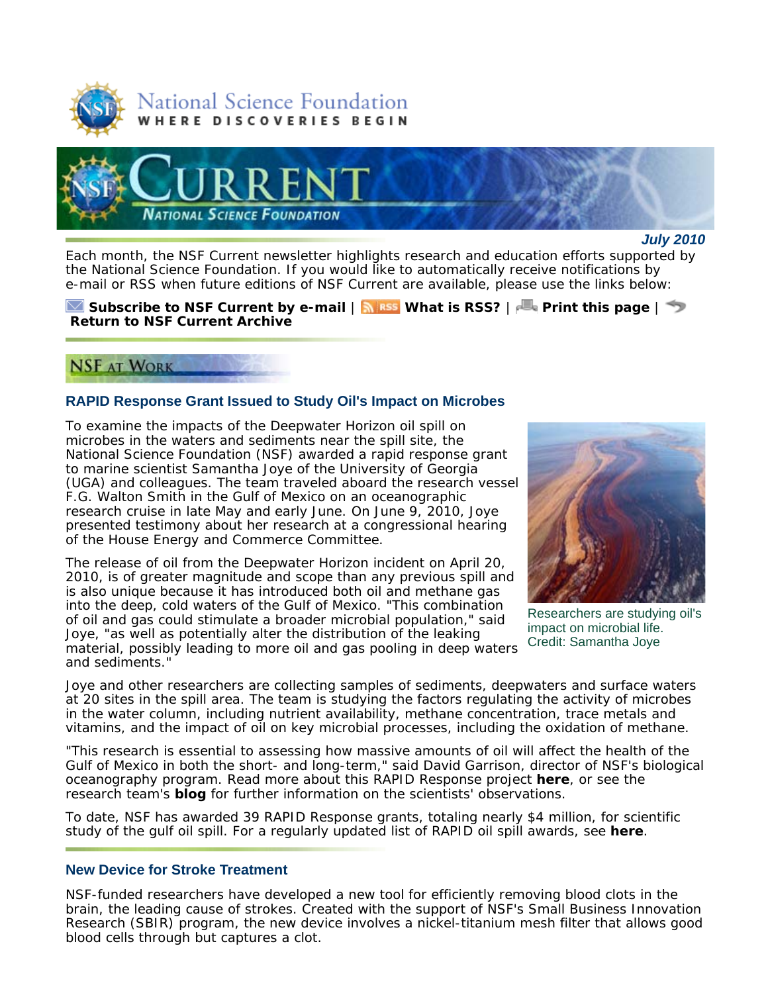



*July 2010*

Each month, the *NSF Current* newsletter highlights research and education efforts supported by the National Science Foundation. If you would like to automatically receive notifications by e-mail or RSS when future editions of *NSF Current* are available, please use the links below:

**Subscribe to** *NSF Current* **by e-mail** | **What is RSS?** | **Print this page** | **Return to** *NSF Current* **Archive**

# **NSF AT WORK**

### **RAPID Response Grant Issued to Study Oil's Impact on Microbes**

To examine the impacts of the Deepwater Horizon oil spill on microbes in the waters and sediments near the spill site, the National Science Foundation (NSF) awarded a rapid response grant to marine scientist Samantha Joye of the University of Georgia (UGA) and colleagues. The team traveled aboard the research vessel *F.G. Walton Smith* in the Gulf of Mexico on an oceanographic research cruise in late May and early June. On June 9, 2010, Joye presented testimony about her research at a congressional hearing of the House Energy and Commerce Committee.

The release of oil from the Deepwater Horizon incident on April 20, 2010, is of greater magnitude and scope than any previous spill and is also unique because it has introduced both oil and methane gas into the deep, cold waters of the Gulf of Mexico. "This combination of oil and gas could stimulate a broader microbial population," said Joye, "as well as potentially alter the distribution of the leaking material, possibly leading to more oil and gas pooling in deep waters and sediments."



Researchers are studying oil's impact on microbial life. Credit: Samantha Joye

Joye and other researchers are collecting samples of sediments, deepwaters and surface waters at 20 sites in the spill area. The team is studying the factors regulating the activity of microbes in the water column, including nutrient availability, methane concentration, trace metals and vitamins, and the impact of oil on key microbial processes, including the oxidation of methane.

"This research is essential to assessing how massive amounts of oil will affect the health of the Gulf of Mexico in both the short- and long-term," said David Garrison, director of NSF's biological oceanography program. Read more about this RAPID Response project **here**, or see the research team's **blog** for further information on the scientists' observations.

To date, NSF has awarded 39 RAPID Response grants, totaling nearly \$4 million, for scientific study of the gulf oil spill. For a regularly updated list of RAPID oil spill awards, see **here**.

### **New Device for Stroke Treatment**

NSF-funded researchers have developed a new tool for efficiently removing blood clots in the brain, the leading cause of strokes. Created with the support of NSF's Small Business Innovation Research (SBIR) program, the new device involves a nickel-titanium mesh filter that allows good blood cells through but captures a clot.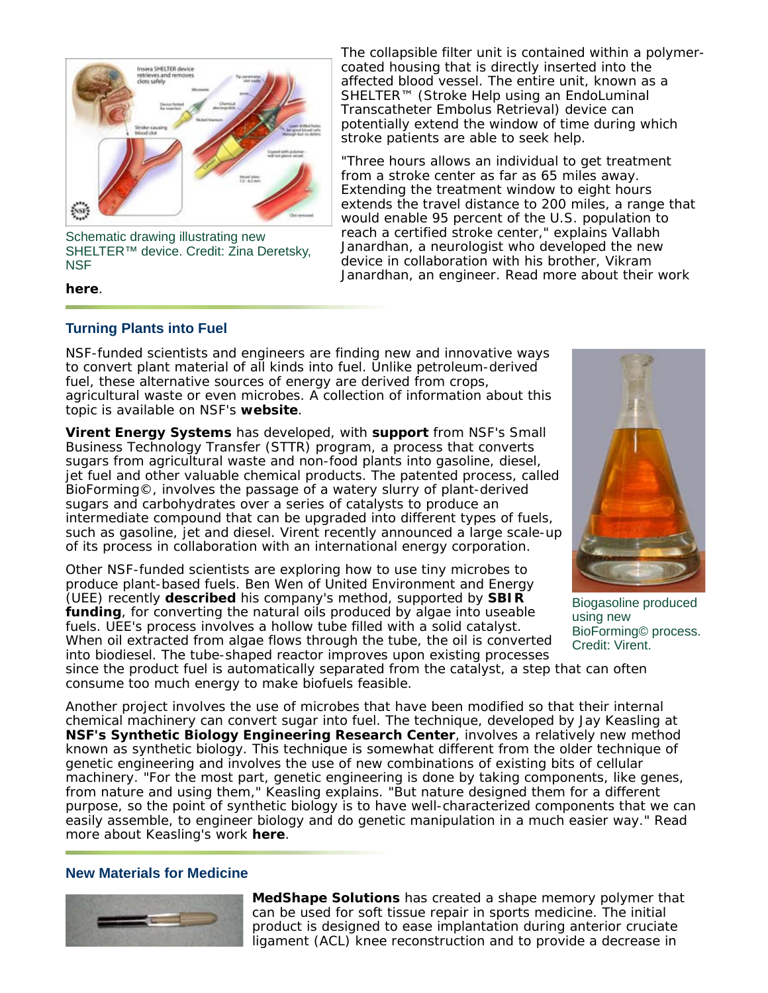

Schematic drawing illustrating new SHELTER™ device. Credit: Zina Deretsky, **NSF** 

**here**.

The collapsible filter unit is contained within a polymercoated housing that is directly inserted into the affected blood vessel. The entire unit, known as a SHELTER™ (Stroke Help using an EndoLuminal Transcatheter Embolus Retrieval) device can potentially extend the window of time during which stroke patients are able to seek help.

"Three hours allows an individual to get treatment from a stroke center as far as 65 miles away. Extending the treatment window to eight hours extends the travel distance to 200 miles, a range that would enable 95 percent of the U.S. population to reach a certified stroke center," explains Vallabh Janardhan, a neurologist who developed the new device in collaboration with his brother, Vikram Janardhan, an engineer. Read more about their work

# **Turning Plants into Fuel**

NSF-funded scientists and engineers are finding new and innovative ways to convert plant material of all kinds into fuel. Unlike petroleum-derived fuel, these alternative sources of energy are derived from crops, agricultural waste or even microbes. A collection of information about this topic is available on NSF's **website**.

**Virent Energy Systems** has developed, with **support** from NSF's Small Business Technology Transfer (STTR) program, a process that converts sugars from agricultural waste and non-food plants into gasoline, diesel, jet fuel and other valuable chemical products. The patented process, called BioForming©, involves the passage of a watery slurry of plant-derived sugars and carbohydrates over a series of catalysts to produce an intermediate compound that can be upgraded into different types of fuels, such as gasoline, jet and diesel. Virent recently announced a large scale-up of its process in collaboration with an international energy corporation.

Other NSF-funded scientists are exploring how to use tiny microbes to produce plant-based fuels. Ben Wen of United Environment and Energy (UEE) recently **described** his company's method, supported by **SBIR funding**, for converting the natural oils produced by algae into useable fuels. UEE's process involves a hollow tube filled with a solid catalyst. When oil extracted from algae flows through the tube, the oil is converted into biodiesel. The tube-shaped reactor improves upon existing processes



Biogasoline produced using new BioForming© process. Credit: Virent.

since the product fuel is automatically separated from the catalyst, a step that can often consume too much energy to make biofuels feasible.

Another project involves the use of microbes that have been modified so that their internal chemical machinery can convert sugar into fuel. The technique, developed by Jay Keasling at **NSF's Synthetic Biology Engineering Research Center**, involves a relatively new method known as synthetic biology. This technique is somewhat different from the older technique of genetic engineering and involves the use of new combinations of existing bits of cellular machinery. "For the most part, genetic engineering is done by taking components, like genes, from nature and using them," Keasling explains. "But nature designed them for a different purpose, so the point of synthetic biology is to have well-characterized components that we can easily assemble, to engineer biology and do genetic manipulation in a much easier way." Read more about Keasling's work **here**.

### **New Materials for Medicine**



**MedShape Solutions** has created a shape memory polymer that can be used for soft tissue repair in sports medicine. The initial product is designed to ease implantation during anterior cruciate ligament (ACL) knee reconstruction and to provide a decrease in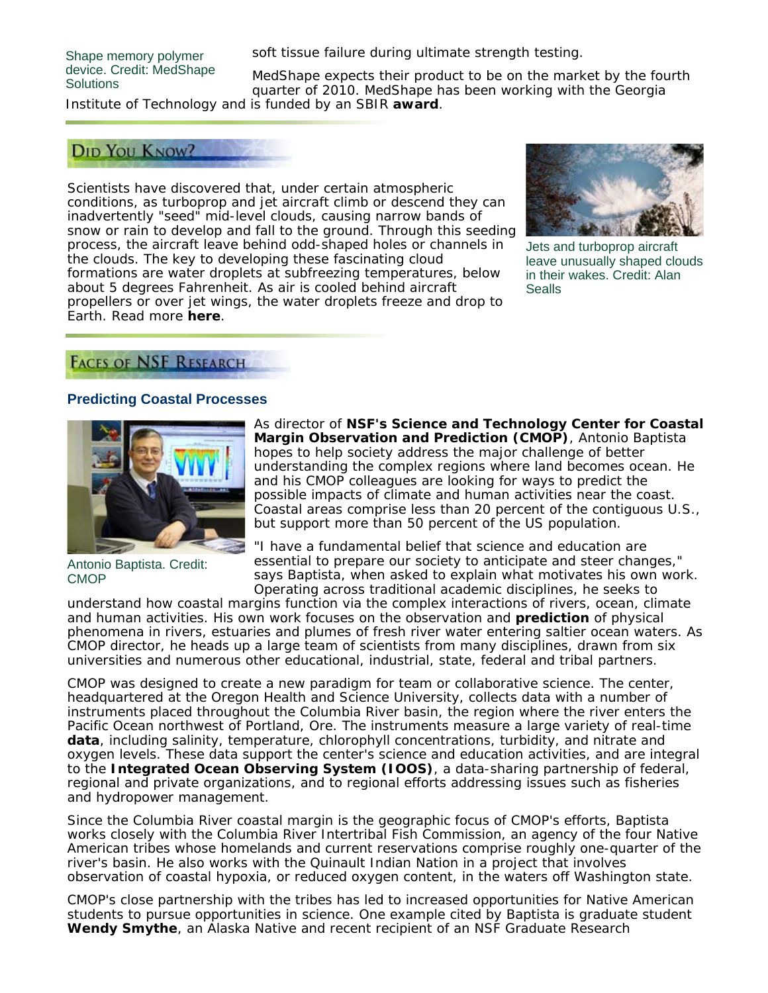#### Shape memory polymer device. Credit: MedShape **Solutions**

soft tissue failure during ultimate strength testing.

MedShape expects their product to be on the market by the fourth quarter of 2010. MedShape has been working with the Georgia Institute of Technology and is funded by an SBIR **award**.

### **DID YOU KNOW?**

Scientists have discovered that, under certain atmospheric conditions, as turboprop and jet aircraft climb or descend they can inadvertently "seed" mid-level clouds, causing narrow bands of snow or rain to develop and fall to the ground. Through this seeding process, the aircraft leave behind odd-shaped holes or channels in the clouds. The key to developing these fascinating cloud formations are water droplets at subfreezing temperatures, below about 5 degrees Fahrenheit. As air is cooled behind aircraft propellers or over jet wings, the water droplets freeze and drop to Earth. Read more **here**.



Jets and turboprop aircraft leave unusually shaped clouds in their wakes. Credit: Alan Sealls

# **FACES OF NSF RESEARCH**

### **Predicting Coastal Processes**



Antonio Baptista. Credit: **CMOP** 

As director of **NSF's Science and Technology Center for Coastal Margin Observation and Prediction (CMOP)**, Antonio Baptista hopes to help society address the major challenge of better understanding the complex regions where land becomes ocean. He and his CMOP colleagues are looking for ways to predict the possible impacts of climate and human activities near the coast. Coastal areas comprise less than 20 percent of the contiguous U.S., but support more than 50 percent of the US population.

"I have a fundamental belief that science and education are essential to prepare our society to anticipate and steer changes," says Baptista, when asked to explain what motivates his own work. Operating across traditional academic disciplines, he seeks to

understand how coastal margins function via the complex interactions of rivers, ocean, climate and human activities. His own work focuses on the observation and **prediction** of physical phenomena in rivers, estuaries and plumes of fresh river water entering saltier ocean waters. As CMOP director, he heads up a large team of scientists from many disciplines, drawn from six universities and numerous other educational, industrial, state, federal and tribal partners.

CMOP was designed to create a new paradigm for team or collaborative science. The center, headquartered at the Oregon Health and Science University, collects data with a number of instruments placed throughout the Columbia River basin, the region where the river enters the Pacific Ocean northwest of Portland, Ore. The instruments measure a large variety of real-time **data**, including salinity, temperature, chlorophyll concentrations, turbidity, and nitrate and oxygen levels. These data support the center's science and education activities, and are integral to the **Integrated Ocean Observing System (IOOS)**, a data-sharing partnership of federal, regional and private organizations, and to regional efforts addressing issues such as fisheries and hydropower management.

Since the Columbia River coastal margin is the geographic focus of CMOP's efforts, Baptista works closely with the Columbia River Intertribal Fish Commission, an agency of the four Native American tribes whose homelands and current reservations comprise roughly one-quarter of the river's basin. He also works with the Quinault Indian Nation in a project that involves observation of coastal hypoxia, or reduced oxygen content, in the waters off Washington state.

CMOP's close partnership with the tribes has led to increased opportunities for Native American students to pursue opportunities in science. One example cited by Baptista is graduate student **Wendy Smythe**, an Alaska Native and recent recipient of an NSF Graduate Research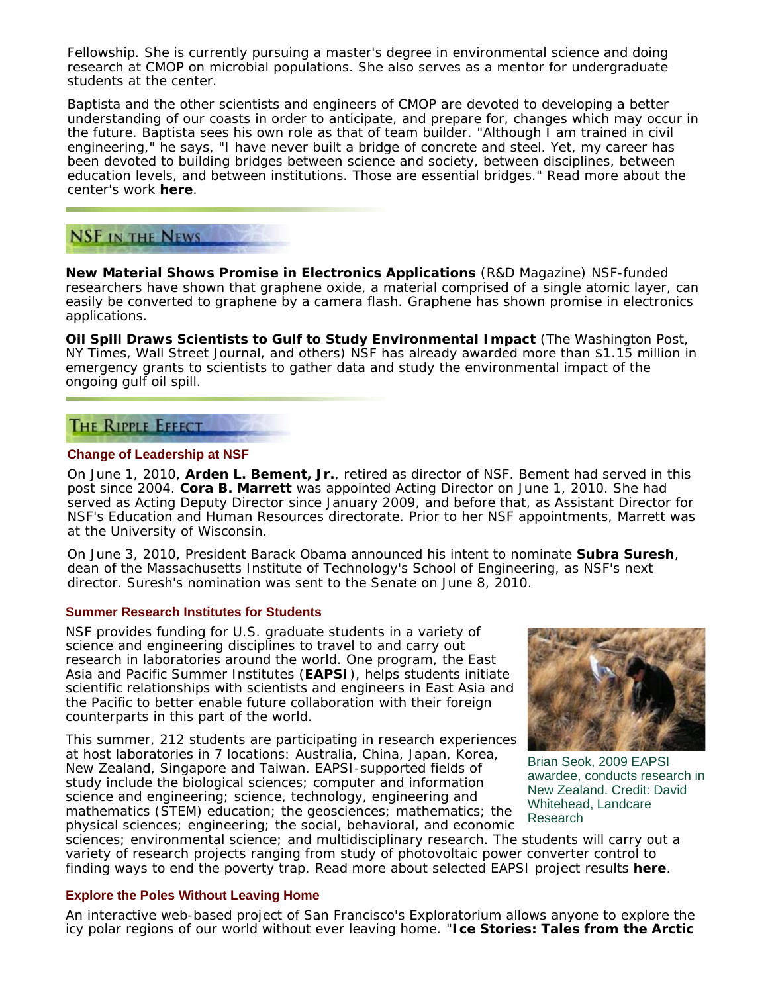Fellowship. She is currently pursuing a master's degree in environmental science and doing research at CMOP on microbial populations. She also serves as a mentor for undergraduate students at the center.

Baptista and the other scientists and engineers of CMOP are devoted to developing a better understanding of our coasts in order to anticipate, and prepare for, changes which may occur in the future. Baptista sees his own role as that of team builder. "Although I am trained in civil engineering," he says, "I have never built a bridge of concrete and steel. Yet, my career has been devoted to building bridges between science and society, between disciplines, between education levels, and between institutions. Those are essential bridges." Read more about the center's work **here**.

# **NSF IN THE NEWS**

**New Material Shows Promise in Electronics Applications** (*R&D Magazine*) NSF-funded researchers have shown that graphene oxide, a material comprised of a single atomic layer, can easily be converted to graphene by a camera flash. Graphene has shown promise in electronics applications.

**Oil Spill Draws Scientists to Gulf to Study Environmental Impact** (*The Washington Post*, *NY Times*, *Wall Street Journal*, and others) NSF has already awarded more than \$1.15 million in emergency grants to scientists to gather data and study the environmental impact of the ongoing gulf oil spill.

## **THE RIPPLE EFFECT**

#### **Change of Leadership at NSF**

On June 1, 2010, **Arden L. Bement, Jr.**, retired as director of NSF. Bement had served in this post since 2004. **Cora B. Marrett** was appointed Acting Director on June 1, 2010. She had served as Acting Deputy Director since January 2009, and before that, as Assistant Director for NSF's Education and Human Resources directorate. Prior to her NSF appointments, Marrett was at the University of Wisconsin.

On June 3, 2010, President Barack Obama announced his intent to nominate **Subra Suresh**, dean of the Massachusetts Institute of Technology's School of Engineering, as NSF's next director. Suresh's nomination was sent to the Senate on June 8, 2010.

#### **Summer Research Institutes for Students**

NSF provides funding for U.S. graduate students in a variety of science and engineering disciplines to travel to and carry out research in laboratories around the world. One program, the East Asia and Pacific Summer Institutes (**EAPSI**), helps students initiate scientific relationships with scientists and engineers in East Asia and the Pacific to better enable future collaboration with their foreign counterparts in this part of the world.

This summer, 212 students are participating in research experiences at host laboratories in 7 locations: Australia, China, Japan, Korea, New Zealand, Singapore and Taiwan. EAPSI-supported fields of study include the biological sciences; computer and information science and engineering; science, technology, engineering and mathematics (STEM) education; the geosciences; mathematics; the physical sciences; engineering; the social, behavioral, and economic



Brian Seok, 2009 EAPSI awardee, conducts research in New Zealand. Credit: David Whitehead, Landcare Research

sciences; environmental science; and multidisciplinary research. The students will carry out a variety of research projects ranging from study of photovoltaic power converter control to finding ways to end the poverty trap. Read more about selected EAPSI project results **here**.

### **Explore the Poles Without Leaving Home**

An interactive web-based project of San Francisco's Exploratorium allows anyone to explore the icy polar regions of our world without ever leaving home. "**Ice Stories: Tales from the Arctic**